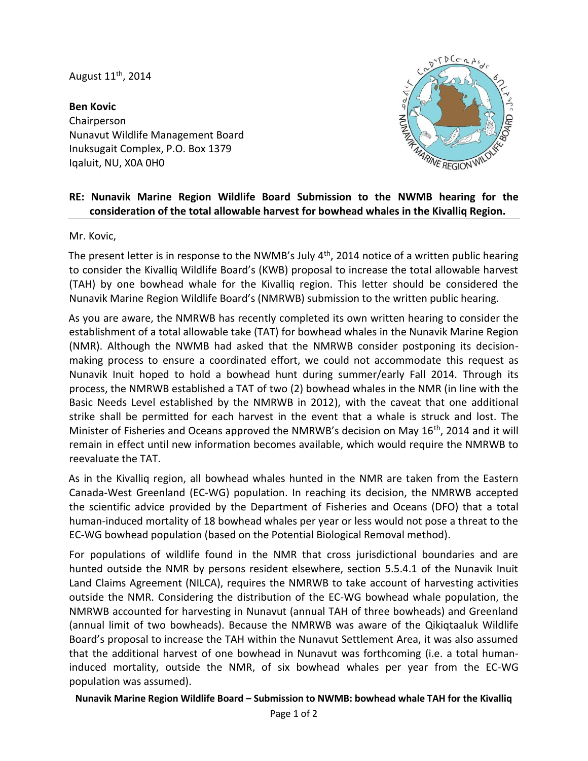August 11th, 2014

**Ben Kovic** Chairperson Nunavut Wildlife Management Board Inuksugait Complex, P.O. Box 1379 Iqaluit, NU, X0A 0H0



## **RE: Nunavik Marine Region Wildlife Board Submission to the NWMB hearing for the consideration of the total allowable harvest for bowhead whales in the Kivalliq Region.**

Mr. Kovic,

The present letter is in response to the NWMB's July  $4<sup>th</sup>$ , 2014 notice of a written public hearing to consider the Kivalliq Wildlife Board's (KWB) proposal to increase the total allowable harvest (TAH) by one bowhead whale for the Kivalliq region. This letter should be considered the Nunavik Marine Region Wildlife Board's (NMRWB) submission to the written public hearing.

As you are aware, the NMRWB has recently completed its own written hearing to consider the establishment of a total allowable take (TAT) for bowhead whales in the Nunavik Marine Region (NMR). Although the NWMB had asked that the NMRWB consider postponing its decisionmaking process to ensure a coordinated effort, we could not accommodate this request as Nunavik Inuit hoped to hold a bowhead hunt during summer/early Fall 2014. Through its process, the NMRWB established a TAT of two (2) bowhead whales in the NMR (in line with the Basic Needs Level established by the NMRWB in 2012), with the caveat that one additional strike shall be permitted for each harvest in the event that a whale is struck and lost. The Minister of Fisheries and Oceans approved the NMRWB's decision on May  $16<sup>th</sup>$ , 2014 and it will remain in effect until new information becomes available, which would require the NMRWB to reevaluate the TAT.

As in the Kivalliq region, all bowhead whales hunted in the NMR are taken from the Eastern Canada-West Greenland (EC-WG) population. In reaching its decision, the NMRWB accepted the scientific advice provided by the Department of Fisheries and Oceans (DFO) that a total human-induced mortality of 18 bowhead whales per year or less would not pose a threat to the EC-WG bowhead population (based on the Potential Biological Removal method).

For populations of wildlife found in the NMR that cross jurisdictional boundaries and are hunted outside the NMR by persons resident elsewhere, section 5.5.4.1 of the Nunavik Inuit Land Claims Agreement (NILCA), requires the NMRWB to take account of harvesting activities outside the NMR. Considering the distribution of the EC-WG bowhead whale population, the NMRWB accounted for harvesting in Nunavut (annual TAH of three bowheads) and Greenland (annual limit of two bowheads). Because the NMRWB was aware of the Qikiqtaaluk Wildlife Board's proposal to increase the TAH within the Nunavut Settlement Area, it was also assumed that the additional harvest of one bowhead in Nunavut was forthcoming (i.e. a total humaninduced mortality, outside the NMR, of six bowhead whales per year from the EC-WG population was assumed).

**Nunavik Marine Region Wildlife Board – Submission to NWMB: bowhead whale TAH for the Kivalliq**